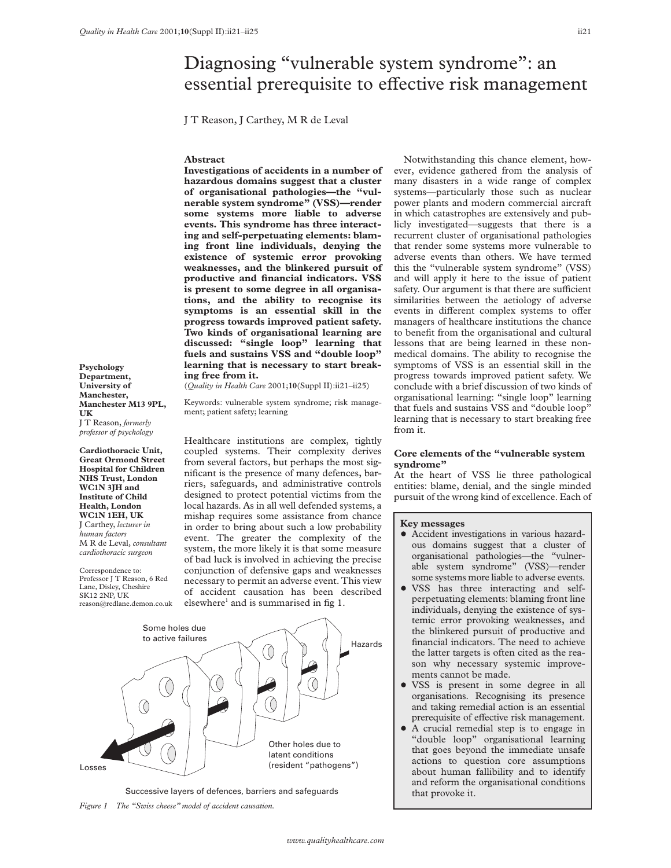**Psychology Department, University of Manchester, Manchester M13 9PL,**

J T Reason, *formerly professor of psychology* **Cardiothoracic Unit, Great Ormond Street Hospital for Children NHS Trust, London WC1N 3JH and Institute of Child Health, London WC1N 1EH, UK** J Carthey, *lecturer in human factors* M R de Leval, *consultant cardiothoracic surgeon* Correspondence to: Professor J T Reason, 6 Red Lane, Disley, Cheshire  $SK122NPIHK$ 

**UK**

# Diagnosing "vulnerable system syndrome": an essential prerequisite to effective risk management

J T Reason, J Carthey, M R de Leval

#### **Abstract**

**Investigations of accidents in a number of hazardous domains suggest that a cluster of organisational pathologies—the "vulnerable system syndrome" (VSS)—render some systems more liable to adverse events. This syndrome has three interacting and self-perpetuating elements: blaming front line individuals, denying the existence of systemic error provoking weaknesses, and the blinkered pursuit of productive and financial indicators. VSS is present to some degree in all organisations, and the ability to recognise its symptoms is an essential skill in the progress towards improved patient safety. Two kinds of organisational learning are discussed: "single loop" learning that fuels and sustains VSS and "double loop" learning that is necessary to start breaking free from it.**

(*Quality in Health Care* 2001;**10**(Suppl II):ii21–ii25)

Keywords: vulnerable system syndrome; risk management; patient safety; learning

Healthcare institutions are complex, tightly coupled systems. Their complexity derives from several factors, but perhaps the most significant is the presence of many defences, barriers, safeguards, and administrative controls designed to protect potential victims from the local hazards. As in all well defended systems, a mishap requires some assistance from chance in order to bring about such a low probability event. The greater the complexity of the system, the more likely it is that some measure of bad luck is involved in achieving the precise conjunction of defensive gaps and weaknesses necessary to permit an adverse event. This view of accident causation has been described elsewhere<sup>1</sup> and is summarised in fig 1.



Successive layers of defences, barriers and safeguards

*Figure 1 The "Swiss cheese" model of accident causation.*

Notwithstanding this chance element, however, evidence gathered from the analysis of many disasters in a wide range of complex systems—particularly those such as nuclear power plants and modern commercial aircraft in which catastrophes are extensively and publicly investigated—suggests that there is a recurrent cluster of organisational pathologies that render some systems more vulnerable to adverse events than others. We have termed this the "vulnerable system syndrome" (VSS) and will apply it here to the issue of patient safety. Our argument is that there are sufficient similarities between the aetiology of adverse events in different complex systems to offer managers of healthcare institutions the chance to benefit from the organisational and cultural lessons that are being learned in these nonmedical domains. The ability to recognise the symptoms of VSS is an essential skill in the progress towards improved patient safety. We conclude with a brief discussion of two kinds of organisational learning: "single loop" learning that fuels and sustains VSS and "double loop" learning that is necessary to start breaking free from it.

## **Core elements of the "vulnerable system syndrome"**

At the heart of VSS lie three pathological entities: blame, denial, and the single minded pursuit of the wrong kind of excellence. Each of

## **Key messages**

- + Accident investigations in various hazardous domains suggest that a cluster of organisational pathologies—the "vulnerable system syndrome" (VSS)—render some systems more liable to adverse events.
- VSS has three interacting and selfperpetuating elements: blaming front line individuals, denying the existence of systemic error provoking weaknesses, and the blinkered pursuit of productive and financial indicators. The need to achieve the latter targets is often cited as the reason why necessary systemic improvements cannot be made.
- VSS is present in some degree in all organisations. Recognising its presence and taking remedial action is an essential prerequisite of effective risk management.
- + A crucial remedial step is to engage in "double loop" organisational learning that goes beyond the immediate unsafe actions to question core assumptions about human fallibility and to identify and reform the organisational conditions that provoke it.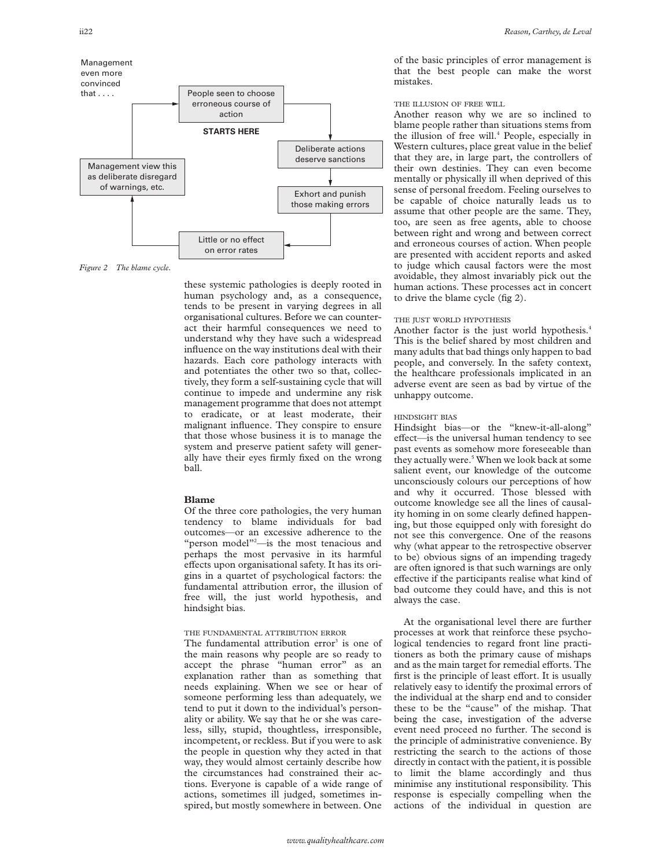

*Figure 2 The blame cycle.*

these systemic pathologies is deeply rooted in human psychology and, as a consequence, tends to be present in varying degrees in all organisational cultures. Before we can counteract their harmful consequences we need to understand why they have such a widespread influence on the way institutions deal with their hazards. Each core pathology interacts with and potentiates the other two so that, collectively, they form a self-sustaining cycle that will continue to impede and undermine any risk management programme that does not attempt to eradicate, or at least moderate, their malignant influence. They conspire to ensure that those whose business it is to manage the system and preserve patient safety will generally have their eyes firmly fixed on the wrong ball.

#### **Blame**

Of the three core pathologies, the very human tendency to blame individuals for bad outcomes—or an excessive adherence to the "person model"<sup>2</sup>-is the most tenacious and perhaps the most pervasive in its harmful effects upon organisational safety. It has its origins in a quartet of psychological factors: the fundamental attribution error, the illusion of free will, the just world hypothesis, and hindsight bias.

#### THE FUNDAMENTAL ATTRIBUTION ERROR

The fundamental attribution error<sup>3</sup> is one of the main reasons why people are so ready to accept the phrase "human error" as an explanation rather than as something that needs explaining. When we see or hear of someone performing less than adequately, we tend to put it down to the individual's personality or ability. We say that he or she was careless, silly, stupid, thoughtless, irresponsible, incompetent, or reckless. But if you were to ask the people in question why they acted in that way, they would almost certainly describe how the circumstances had constrained their actions. Everyone is capable of a wide range of actions, sometimes ill judged, sometimes inspired, but mostly somewhere in between. One

of the basic principles of error management is that the best people can make the worst mistakes.

#### THE ILLUSION OF FREE WILL

Another reason why we are so inclined to blame people rather than situations stems from the illusion of free will.<sup>4</sup> People, especially in Western cultures, place great value in the belief that they are, in large part, the controllers of their own destinies. They can even become mentally or physically ill when deprived of this sense of personal freedom. Feeling ourselves to be capable of choice naturally leads us to assume that other people are the same. They, too, are seen as free agents, able to choose between right and wrong and between correct and erroneous courses of action. When people are presented with accident reports and asked to judge which causal factors were the most avoidable, they almost invariably pick out the human actions. These processes act in concert to drive the blame cycle (fig 2).

#### THE JUST WORLD HYPOTHESIS

Another factor is the just world hypothesis.<sup>4</sup> This is the belief shared by most children and many adults that bad things only happen to bad people, and conversely. In the safety context, the healthcare professionals implicated in an adverse event are seen as bad by virtue of the unhappy outcome.

#### HINDSIGHT BIAS

Hindsight bias—or the "knew-it-all-along" effect—is the universal human tendency to see past events as somehow more foreseeable than they actually were.<sup>5</sup> When we look back at some salient event, our knowledge of the outcome unconsciously colours our perceptions of how and why it occurred. Those blessed with outcome knowledge see all the lines of causality homing in on some clearly defined happening, but those equipped only with foresight do not see this convergence. One of the reasons why (what appear to the retrospective observer to be) obvious signs of an impending tragedy are often ignored is that such warnings are only effective if the participants realise what kind of bad outcome they could have, and this is not always the case.

At the organisational level there are further processes at work that reinforce these psychological tendencies to regard front line practitioners as both the primary cause of mishaps and as the main target for remedial efforts. The first is the principle of least effort. It is usually relatively easy to identify the proximal errors of the individual at the sharp end and to consider these to be the "cause" of the mishap. That being the case, investigation of the adverse event need proceed no further. The second is the principle of administrative convenience. By restricting the search to the actions of those directly in contact with the patient, it is possible to limit the blame accordingly and thus minimise any institutional responsibility. This response is especially compelling when the actions of the individual in question are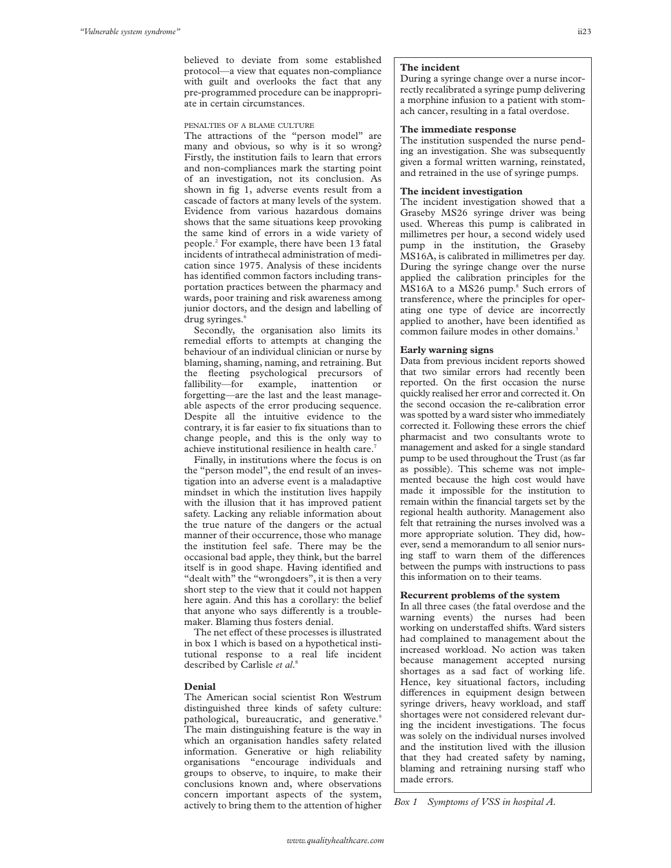believed to deviate from some established protocol—a view that equates non-compliance with guilt and overlooks the fact that any pre-programmed procedure can be inappropriate in certain circumstances.

## PENALTIES OF A BLAME CULTURE

The attractions of the "person model" are many and obvious, so why is it so wrong? Firstly, the institution fails to learn that errors and non-compliances mark the starting point of an investigation, not its conclusion. As shown in fig 1, adverse events result from a cascade of factors at many levels of the system. Evidence from various hazardous domains shows that the same situations keep provoking the same kind of errors in a wide variety of people.2 For example, there have been 13 fatal incidents of intrathecal administration of medication since 1975. Analysis of these incidents has identified common factors including transportation practices between the pharmacy and wards, poor training and risk awareness among junior doctors, and the design and labelling of drug syringes.<sup>6</sup>

Secondly, the organisation also limits its remedial efforts to attempts at changing the behaviour of an individual clinician or nurse by blaming, shaming, naming, and retraining. But the fleeting psychological precursors of fallibility—for example, inattention or forgetting—are the last and the least manageable aspects of the error producing sequence. Despite all the intuitive evidence to the contrary, it is far easier to fix situations than to change people, and this is the only way to achieve institutional resilience in health care.<sup>7</sup>

Finally, in institutions where the focus is on the "person model", the end result of an investigation into an adverse event is a maladaptive mindset in which the institution lives happily with the illusion that it has improved patient safety. Lacking any reliable information about the true nature of the dangers or the actual manner of their occurrence, those who manage the institution feel safe. There may be the occasional bad apple, they think, but the barrel itself is in good shape. Having identified and "dealt with" the "wrongdoers", it is then a very short step to the view that it could not happen here again. And this has a corollary: the belief that anyone who says differently is a troublemaker. Blaming thus fosters denial.

The net effect of these processes is illustrated in box 1 which is based on a hypothetical institutional response to a real life incident described by Carlisle *et al*. 8

### **Denial**

The American social scientist Ron Westrum distinguished three kinds of safety culture: pathological, bureaucratic, and generative.<sup>9</sup> The main distinguishing feature is the way in which an organisation handles safety related information. Generative or high reliability organisations "encourage individuals and groups to observe, to inquire, to make their conclusions known and, where observations concern important aspects of the system, actively to bring them to the attention of higher

#### **The incident**

During a syringe change over a nurse incorrectly recalibrated a syringe pump delivering a morphine infusion to a patient with stomach cancer, resulting in a fatal overdose.

### **The immediate response**

The institution suspended the nurse pending an investigation. She was subsequently given a formal written warning, reinstated, and retrained in the use of syringe pumps.

## **The incident investigation**

The incident investigation showed that a Graseby MS26 syringe driver was being used. Whereas this pump is calibrated in millimetres per hour, a second widely used pump in the institution, the Graseby MS16A, is calibrated in millimetres per day. During the syringe change over the nurse applied the calibration principles for the MS16A to a MS26 pump.<sup>8</sup> Such errors of transference, where the principles for operating one type of device are incorrectly applied to another, have been identified as common failure modes in other domains.<sup>3</sup>

## **Early warning signs**

Data from previous incident reports showed that two similar errors had recently been reported. On the first occasion the nurse quickly realised her error and corrected it. On the second occasion the re-calibration error was spotted by a ward sister who immediately corrected it. Following these errors the chief pharmacist and two consultants wrote to management and asked for a single standard pump to be used throughout the Trust (as far as possible). This scheme was not implemented because the high cost would have made it impossible for the institution to remain within the financial targets set by the regional health authority. Management also felt that retraining the nurses involved was a more appropriate solution. They did, however, send a memorandum to all senior nursing staff to warn them of the differences between the pumps with instructions to pass this information on to their teams.

#### **Recurrent problems of the system**

In all three cases (the fatal overdose and the warning events) the nurses had been working on understaffed shifts. Ward sisters had complained to management about the increased workload. No action was taken because management accepted nursing shortages as a sad fact of working life. Hence, key situational factors, including differences in equipment design between syringe drivers, heavy workload, and staff shortages were not considered relevant during the incident investigations. The focus was solely on the individual nurses involved and the institution lived with the illusion that they had created safety by naming, blaming and retraining nursing staff who made errors.

*Box 1 Symptoms of VSS in hospital A.*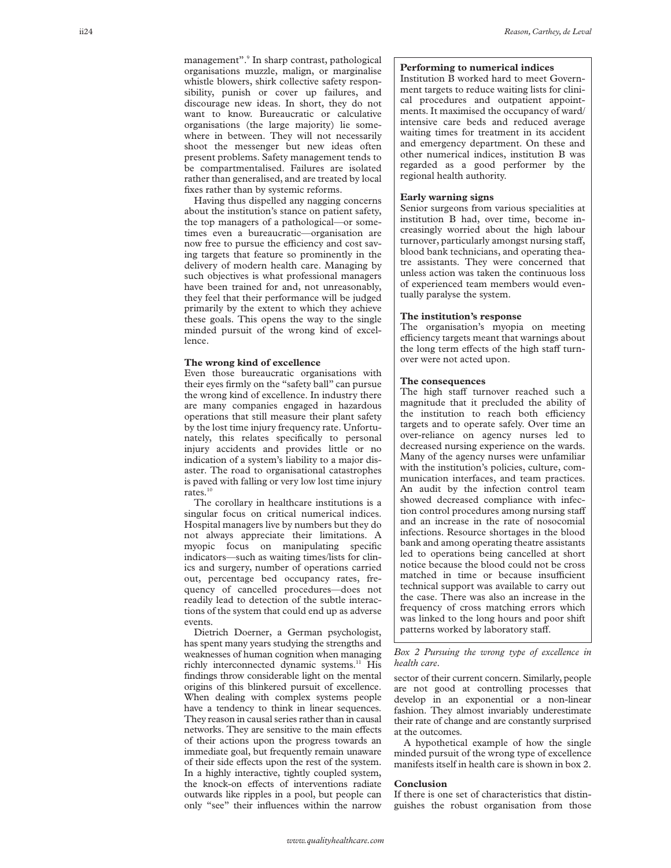management".<sup>9</sup> In sharp contrast, pathological organisations muzzle, malign, or marginalise whistle blowers, shirk collective safety responsibility, punish or cover up failures, and discourage new ideas. In short, they do not want to know. Bureaucratic or calculative organisations (the large majority) lie somewhere in between. They will not necessarily shoot the messenger but new ideas often present problems. Safety management tends to be compartmentalised. Failures are isolated rather than generalised, and are treated by local fixes rather than by systemic reforms.

Having thus dispelled any nagging concerns about the institution's stance on patient safety, the top managers of a pathological—or sometimes even a bureaucratic—organisation are now free to pursue the efficiency and cost saving targets that feature so prominently in the delivery of modern health care. Managing by such objectives is what professional managers have been trained for and, not unreasonably, they feel that their performance will be judged primarily by the extent to which they achieve these goals. This opens the way to the single minded pursuit of the wrong kind of excellence.

## **The wrong kind of excellence**

Even those bureaucratic organisations with their eyes firmly on the "safety ball" can pursue the wrong kind of excellence. In industry there are many companies engaged in hazardous operations that still measure their plant safety by the lost time injury frequency rate. Unfortunately, this relates specifically to personal injury accidents and provides little or no indication of a system's liability to a major disaster. The road to organisational catastrophes is paved with falling or very low lost time injury rates.<sup>10</sup>

The corollary in healthcare institutions is a singular focus on critical numerical indices. Hospital managers live by numbers but they do not always appreciate their limitations. A myopic focus on manipulating specific indicators—such as waiting times/lists for clinics and surgery, number of operations carried out, percentage bed occupancy rates, frequency of cancelled procedures—does not readily lead to detection of the subtle interactions of the system that could end up as adverse events.

Dietrich Doerner, a German psychologist, has spent many years studying the strengths and weaknesses of human cognition when managing richly interconnected dynamic systems.<sup>11</sup> His findings throw considerable light on the mental origins of this blinkered pursuit of excellence. When dealing with complex systems people have a tendency to think in linear sequences. They reason in causal series rather than in causal networks. They are sensitive to the main effects of their actions upon the progress towards an immediate goal, but frequently remain unaware of their side effects upon the rest of the system. In a highly interactive, tightly coupled system, the knock-on effects of interventions radiate outwards like ripples in a pool, but people can only "see" their influences within the narrow

#### **Performing to numerical indices**

Institution B worked hard to meet Government targets to reduce waiting lists for clinical procedures and outpatient appointments. It maximised the occupancy of ward/ intensive care beds and reduced average waiting times for treatment in its accident and emergency department. On these and other numerical indices, institution B was regarded as a good performer by the regional health authority.

# **Early warning signs**

Senior surgeons from various specialities at institution B had, over time, become increasingly worried about the high labour turnover, particularly amongst nursing staff, blood bank technicians, and operating theatre assistants. They were concerned that unless action was taken the continuous loss of experienced team members would eventually paralyse the system.

#### **The institution's response**

The organisation's myopia on meeting efficiency targets meant that warnings about the long term effects of the high staff turnover were not acted upon.

#### **The consequences**

The high staff turnover reached such a magnitude that it precluded the ability of the institution to reach both efficiency targets and to operate safely. Over time an over-reliance on agency nurses led to decreased nursing experience on the wards. Many of the agency nurses were unfamiliar with the institution's policies, culture, communication interfaces, and team practices. An audit by the infection control team showed decreased compliance with infection control procedures among nursing staff and an increase in the rate of nosocomial infections. Resource shortages in the blood bank and among operating theatre assistants led to operations being cancelled at short notice because the blood could not be cross matched in time or because insufficient technical support was available to carry out the case. There was also an increase in the frequency of cross matching errors which was linked to the long hours and poor shift patterns worked by laboratory staff.

## *Box 2 Pursuing the wrong type of excellence in health care*.

sector of their current concern. Similarly, people are not good at controlling processes that develop in an exponential or a non-linear fashion. They almost invariably underestimate their rate of change and are constantly surprised at the outcomes.

A hypothetical example of how the single minded pursuit of the wrong type of excellence manifests itself in health care is shown in box 2.

## **Conclusion**

If there is one set of characteristics that distinguishes the robust organisation from those